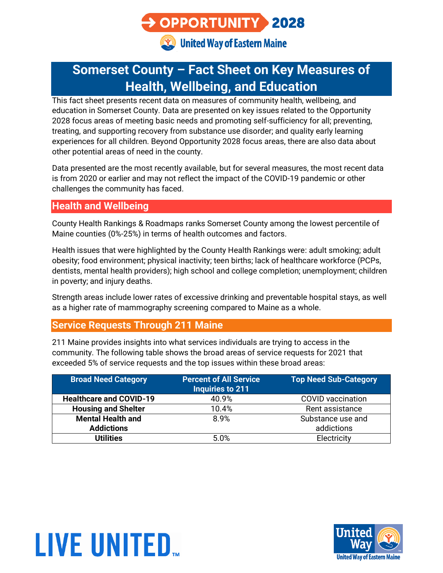# OPPORTUNITY 2028

**Co.** United Way of Eastern Maine

# **Somerset County – Fact Sheet on Key Measures of Health, Wellbeing, and Education**

This fact sheet presents recent data on measures of community health, wellbeing, and education in Somerset County. Data are presented on key issues related to the Opportunity 2028 focus areas of meeting basic needs and promoting self-sufficiency for all; preventing, treating, and supporting recovery from substance use disorder; and quality early learning experiences for all children. Beyond Opportunity 2028 focus areas, there are also data about other potential areas of need in the county.

Data presented are the most recently available, but for several measures, the most recent data is from 2020 or earlier and may not reflect the impact of the COVID-19 pandemic or other challenges the community has faced.

#### **Health and Wellbeing**

County Health Rankings & Roadmaps ranks Somerset County among the lowest percentile of Maine counties (0%-25%) in terms of health outcomes and factors.

Health issues that were highlighted by the County Health Rankings were: adult smoking; adult obesity; food environment; physical inactivity; teen births; lack of healthcare workforce (PCPs, dentists, mental health providers); high school and college completion; unemployment; children in poverty; and injury deaths.

Strength areas include lower rates of excessive drinking and preventable hospital stays, as well as a higher rate of mammography screening compared to Maine as a whole.

#### **Service Requests Through 211 Maine**

211 Maine provides insights into what services individuals are trying to access in the community. The following table shows the broad areas of service requests for 2021 that exceeded 5% of service requests and the top issues within these broad areas:

| <b>Broad Need Category</b>     | <b>Percent of All Service</b><br><b>Inquiries to 211</b> | <b>Top Need Sub-Category</b> |
|--------------------------------|----------------------------------------------------------|------------------------------|
| <b>Healthcare and COVID-19</b> | 40.9%                                                    | <b>COVID</b> vaccination     |
| <b>Housing and Shelter</b>     | 10.4%                                                    | Rent assistance              |
| <b>Mental Health and</b>       | 8.9%                                                     | Substance use and            |
| <b>Addictions</b>              |                                                          | addictions                   |
| <b>Utilities</b>               | 5.0%                                                     | Electricity                  |



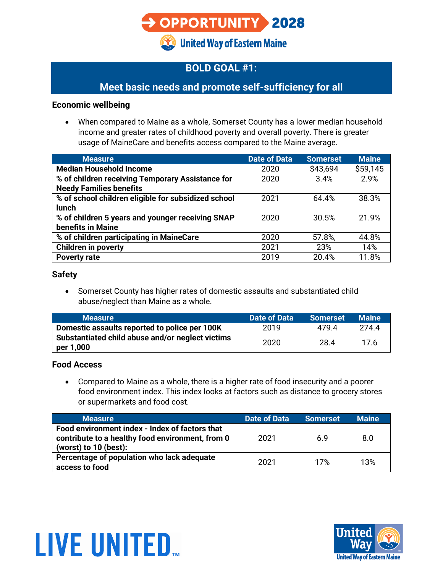# OPPORTUNITY 2028

**Community United Way of Eastern Maine** 

# **BOLD GOAL #1:**

## **Meet basic needs and promote self-sufficiency for all**

#### **Economic wellbeing**

• When compared to Maine as a whole, Somerset County has a lower median household income and greater rates of childhood poverty and overall poverty. There is greater usage of MaineCare and benefits access compared to the Maine average.

| <b>Measure</b>                                      | <b>Date of Data</b> | <b>Somerset</b> | <b>Maine</b> |
|-----------------------------------------------------|---------------------|-----------------|--------------|
| <b>Median Household Income</b>                      | 2020                | \$43,694        | \$59,145     |
| % of children receiving Temporary Assistance for    | 2020                | 3.4%            | 2.9%         |
| <b>Needy Families benefits</b>                      |                     |                 |              |
| % of school children eligible for subsidized school | 2021                | 64.4%           | 38.3%        |
| <b>lunch</b>                                        |                     |                 |              |
| % of children 5 years and younger receiving SNAP    | 2020                | 30.5%           | 21.9%        |
| benefits in Maine                                   |                     |                 |              |
| % of children participating in MaineCare            | 2020                | 57.8%,          | 44.8%        |
| <b>Children in poverty</b>                          | 2021                | 23%             | 14%          |
| <b>Poverty rate</b>                                 | 2019                | 20.4%           | 11.8%        |

#### **Safety**

• Somerset County has higher rates of domestic assaults and substantiated child abuse/neglect than Maine as a whole.

| <b>Measure</b>                                                | <b>Date of Data</b> | <b>Somerset</b> | <b>Maine</b> |
|---------------------------------------------------------------|---------------------|-----------------|--------------|
| Domestic assaults reported to police per 100K                 | 2019                | 4794            | 274.4        |
| Substantiated child abuse and/or neglect victims<br>per 1,000 | 2020                | 28.4            |              |

#### **Food Access**

• Compared to Maine as a whole, there is a higher rate of food insecurity and a poorer food environment index. This index looks at factors such as distance to grocery stores or supermarkets and food cost.

| <b>Measure</b>                                                                                                                | Date of Data | <b>Somerset</b> | <b>Maine</b> |
|-------------------------------------------------------------------------------------------------------------------------------|--------------|-----------------|--------------|
| Food environment index - Index of factors that<br>contribute to a healthy food environment, from 0<br>(worst) to $10$ (best): | 2021         | 69              | 8.0          |
| Percentage of population who lack adequate<br>access to food                                                                  | 2021         | 17%             | 13%          |



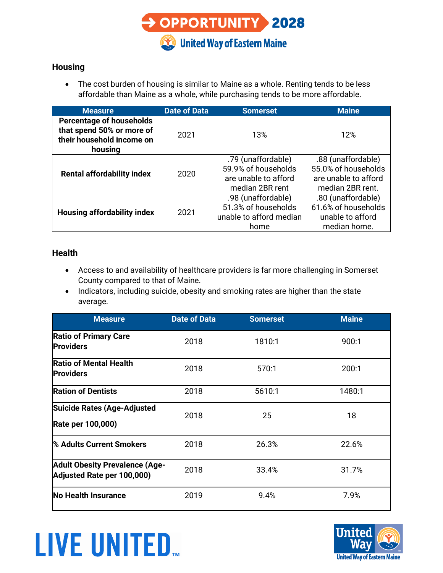

#### **Housing**

• The cost burden of housing is similar to Maine as a whole. Renting tends to be less affordable than Maine as a whole, while purchasing tends to be more affordable.

| <b>Measure</b>                                                                                       | <b>Date of Data</b> | <b>Somerset</b>                                                                      | <b>Maine</b>                                                                          |
|------------------------------------------------------------------------------------------------------|---------------------|--------------------------------------------------------------------------------------|---------------------------------------------------------------------------------------|
| <b>Percentage of households</b><br>that spend 50% or more of<br>their household income on<br>housing | 2021                | 13%                                                                                  | 12%                                                                                   |
| <b>Rental affordability index</b>                                                                    | 2020                | .79 (unaffordable)<br>59.9% of households<br>are unable to afford<br>median 2BR rent | .88 (unaffordable)<br>55.0% of households<br>are unable to afford<br>median 2BR rent. |
| <b>Housing affordability index</b>                                                                   | 2021                | .98 (unaffordable)<br>51.3% of households<br>unable to afford median<br>home         | .80 (unaffordable)<br>61.6% of households<br>unable to afford<br>median home.         |

#### **Health**

- Access to and availability of healthcare providers is far more challenging in Somerset County compared to that of Maine.
- Indicators, including suicide, obesity and smoking rates are higher than the state average.

| <b>Measure</b>                                                      | <b>Date of Data</b> | <b>Somerset</b> | <b>Maine</b> |
|---------------------------------------------------------------------|---------------------|-----------------|--------------|
| <b>Ratio of Primary Care</b><br><b>Providers</b>                    | 2018                | 1810:1          | 900:1        |
| <b>Ratio of Mental Health</b><br><b>Providers</b>                   | 2018                | 570:1           | 200:1        |
| <b>Ration of Dentists</b>                                           | 2018                | 5610:1          | 1480:1       |
| <b>Suicide Rates (Age-Adjusted</b><br>Rate per 100,000)             | 2018                | 25              | 18           |
| <sup>1</sup> % Adults Current Smokers                               | 2018                | 26.3%           | 22.6%        |
| <b>Adult Obesity Prevalence (Age-</b><br>Adjusted Rate per 100,000) | 2018                | 33.4%           | 31.7%        |
| <b>No Health Insurance</b>                                          | 2019                | 9.4%            | 7.9%         |



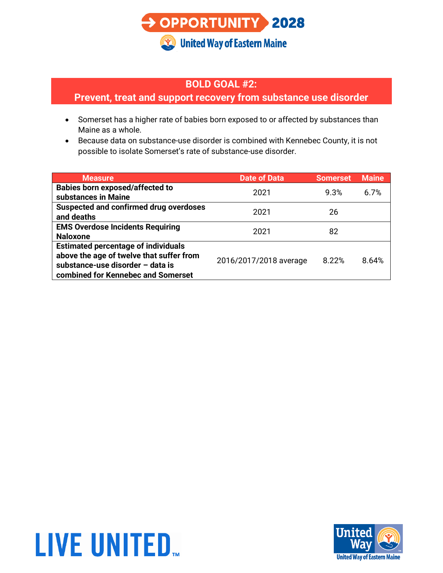

#### **BOLD GOAL #2:**

### **Prevent, treat and support recovery from substance use disorder**

- Somerset has a higher rate of babies born exposed to or affected by substances than Maine as a whole.
- Because data on substance-use disorder is combined with Kennebec County, it is not possible to isolate Somerset's rate of substance-use disorder.

| <b>Measure</b>                                | <b>Date of Data</b>    | <b>Somerset</b> | <b>Maine</b> |
|-----------------------------------------------|------------------------|-----------------|--------------|
| <b>Babies born exposed/affected to</b>        | 2021                   | 9.3%            | 67%          |
| substances in Maine                           |                        |                 |              |
| <b>Suspected and confirmed drug overdoses</b> | 2021                   | 26              |              |
| and deaths                                    |                        |                 |              |
| <b>EMS Overdose Incidents Requiring</b>       | 2021                   | 82              |              |
| <b>Naloxone</b>                               |                        |                 |              |
| <b>Estimated percentage of individuals</b>    |                        |                 |              |
| above the age of twelve that suffer from      | 2016/2017/2018 average | 8.22%           | 8.64%        |
| substance-use disorder - data is              |                        |                 |              |
| combined for Kennebec and Somerset            |                        |                 |              |



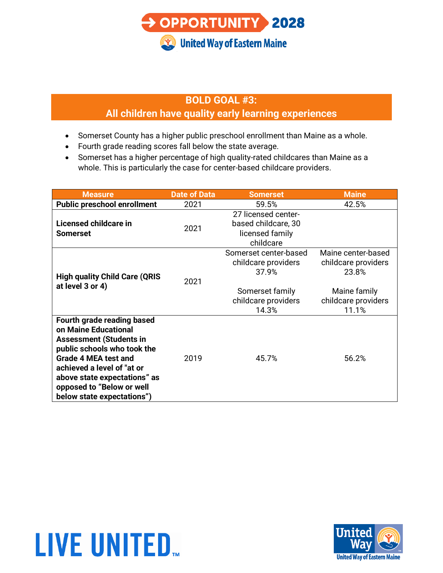

## **BOLD GOAL #3:**

### **All children have quality early learning experiences**

- Somerset County has a higher public preschool enrollment than Maine as a whole.
- Fourth grade reading scores fall below the state average.
- Somerset has a higher percentage of high quality-rated childcares than Maine as a whole. This is particularly the case for center-based childcare providers.

| <b>Measure</b>                                                                                                                                                                                                                                                              | <b>Date of Data</b> | <b>Somerset</b>                                                                                          | <b>Maine</b>                                                                                       |
|-----------------------------------------------------------------------------------------------------------------------------------------------------------------------------------------------------------------------------------------------------------------------------|---------------------|----------------------------------------------------------------------------------------------------------|----------------------------------------------------------------------------------------------------|
| <b>Public preschool enrollment</b>                                                                                                                                                                                                                                          | 2021                | 59.5%                                                                                                    | 42.5%                                                                                              |
| Licensed childcare in<br><b>Somerset</b>                                                                                                                                                                                                                                    | 2021                | 27 licensed center-<br>based childcare, 30<br>licensed family<br>childcare                               |                                                                                                    |
| <b>High quality Child Care (QRIS</b><br>at level 3 or 4)                                                                                                                                                                                                                    | 2021                | Somerset center-based<br>childcare providers<br>37.9%<br>Somerset family<br>childcare providers<br>14.3% | Maine center-based<br>childcare providers<br>23.8%<br>Maine family<br>childcare providers<br>11.1% |
| Fourth grade reading based<br>on Maine Educational<br><b>Assessment (Students in</b><br>public schools who took the<br><b>Grade 4 MEA test and</b><br>achieved a level of "at or<br>above state expectations" as<br>opposed to "Below or well<br>below state expectations") | 2019                | 45.7%                                                                                                    | 56.2%                                                                                              |

# **LIVE UNITED.**